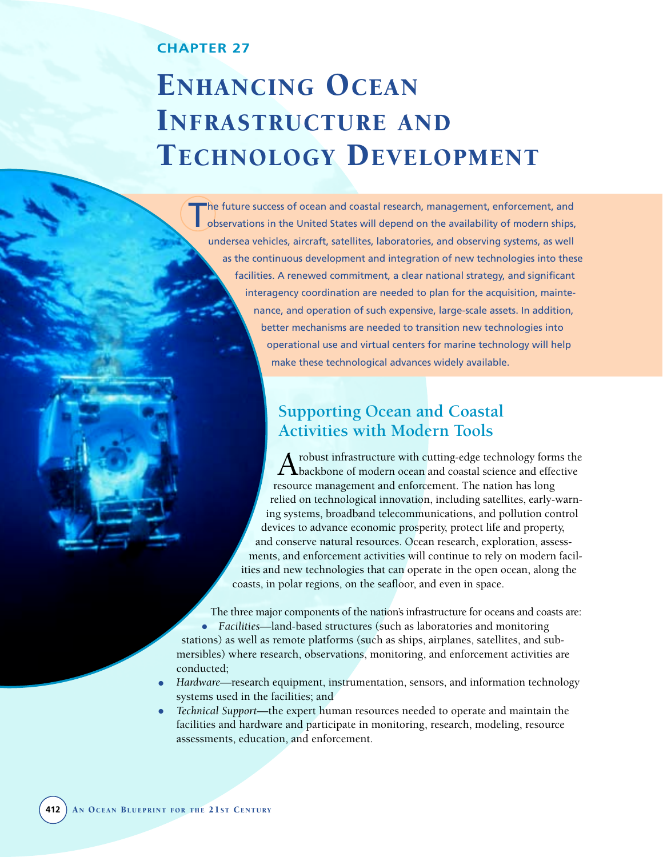### **CHAPTER 27**

# ENHANCING OCEAN INFRASTRUCTURE AND TECHNOLOGY DEVELOPMENT

The future success of ocean and coastal research, management, enforcement, and<br>observations in the United States will depend on the availability of modern ships, undersea vehicles, aircraft, satellites, laboratories, and observing systems, as well as the continuous development and integration of new technologies into these facilities. A renewed commitment, a clear national strategy, and significant interagency coordination are needed to plan for the acquisition, maintenance, and operation of such expensive, large-scale assets. In addition, better mechanisms are needed to transition new technologies into operational use and virtual centers for marine technology will help make these technological advances widely available.

# **Supporting Ocean and Coastal Activities with Modern Tools**

A robust infrastructure with cutting-edge technology forms the<br>backbone of modern ocean and coastal science and effective resource management and enforcement. The nation has long relied on technological innovation, including satellites, early-warning systems, broadband telecommunications, and pollution control devices to advance economic prosperity, protect life and property, and conserve natural resources. Ocean research, exploration, assessments, and enforcement activities will continue to rely on modern facilities and new technologies that can operate in the open ocean, along the coasts, in polar regions, on the seafloor, and even in space.

The three major components of the nation's infrastructure for oceans and coasts are: • *Facilities*—land-based structures (such as laboratories and monitoring stations) as well as remote platforms (such as ships, airplanes, satellites, and submersibles) where research, observations, monitoring, and enforcement activities are conducted;

- *Hardware*—research equipment, instrumentation, sensors, and information technology systems used in the facilities; and
- *Technical Support*—the expert human resources needed to operate and maintain the facilities and hardware and participate in monitoring, research, modeling, resource assessments, education, and enforcement.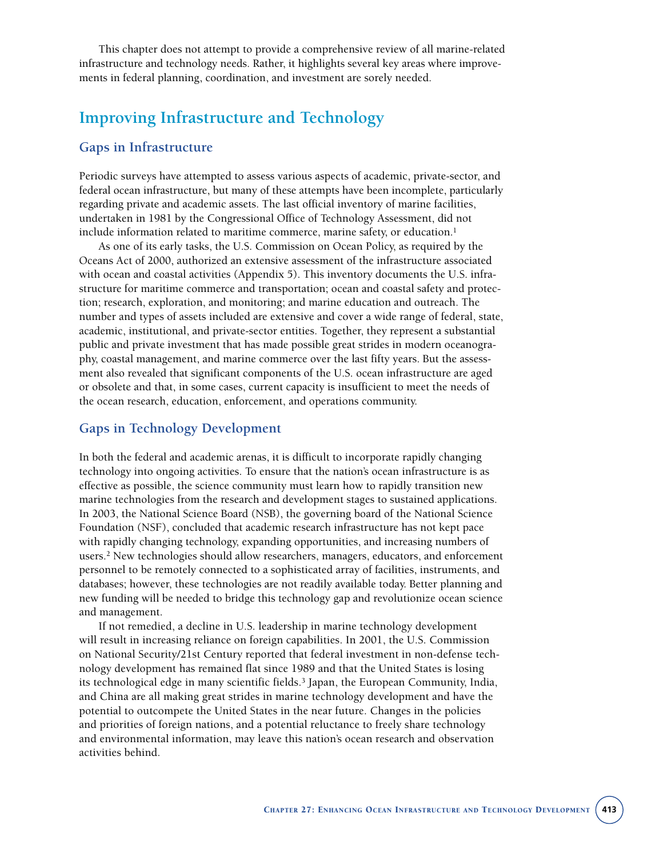This chapter does not attempt to provide a comprehensive review of all marine-related infrastructure and technology needs. Rather, it highlights several key areas where improvements in federal planning, coordination, and investment are sorely needed.

# **Improving Infrastructure and Technology**

#### **Gaps in Infrastructure**

Periodic surveys have attempted to assess various aspects of academic, private-sector, and federal ocean infrastructure, but many of these attempts have been incomplete, particularly regarding private and academic assets. The last official inventory of marine facilities, undertaken in 1981 by the Congressional Office of Technology Assessment, did not include information related to maritime commerce, marine safety, or education.<sup>1</sup>

As one of its early tasks, the U.S. Commission on Ocean Policy, as required by the Oceans Act of 2000, authorized an extensive assessment of the infrastructure associated with ocean and coastal activities (Appendix 5). This inventory documents the U.S. infrastructure for maritime commerce and transportation; ocean and coastal safety and protection; research, exploration, and monitoring; and marine education and outreach. The number and types of assets included are extensive and cover a wide range of federal, state, academic, institutional, and private-sector entities. Together, they represent a substantial public and private investment that has made possible great strides in modern oceanography, coastal management, and marine commerce over the last fifty years. But the assessment also revealed that significant components of the U.S. ocean infrastructure are aged or obsolete and that, in some cases, current capacity is insufficient to meet the needs of the ocean research, education, enforcement, and operations community.

#### **Gaps in Technology Development**

In both the federal and academic arenas, it is difficult to incorporate rapidly changing technology into ongoing activities. To ensure that the nation's ocean infrastructure is as effective as possible, the science community must learn how to rapidly transition new marine technologies from the research and development stages to sustained applications. In 2003, the National Science Board (NSB), the governing board of the National Science Foundation (NSF), concluded that academic research infrastructure has not kept pace with rapidly changing technology, expanding opportunities, and increasing numbers of users.2 New technologies should allow researchers, managers, educators, and enforcement personnel to be remotely connected to a sophisticated array of facilities, instruments, and databases; however, these technologies are not readily available today. Better planning and new funding will be needed to bridge this technology gap and revolutionize ocean science and management.

If not remedied, a decline in U.S. leadership in marine technology development will result in increasing reliance on foreign capabilities. In 2001, the U.S. Commission on National Security/21st Century reported that federal investment in non-defense technology development has remained flat since 1989 and that the United States is losing its technological edge in many scientific fields.<sup>3</sup> Japan, the European Community, India, and China are all making great strides in marine technology development and have the potential to outcompete the United States in the near future. Changes in the policies and priorities of foreign nations, and a potential reluctance to freely share technology and environmental information, may leave this nation's ocean research and observation activities behind.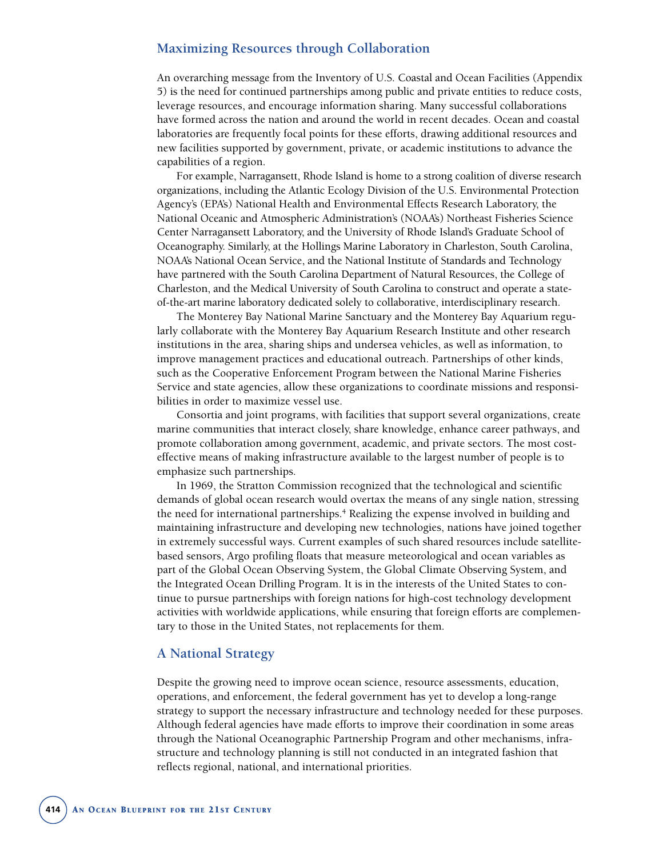#### **Maximizing Resources through Collaboration**

An overarching message from the Inventory of U.S. Coastal and Ocean Facilities (Appendix 5) is the need for continued partnerships among public and private entities to reduce costs, leverage resources, and encourage information sharing. Many successful collaborations have formed across the nation and around the world in recent decades. Ocean and coastal laboratories are frequently focal points for these efforts, drawing additional resources and new facilities supported by government, private, or academic institutions to advance the capabilities of a region.

For example, Narragansett, Rhode Island is home to a strong coalition of diverse research organizations, including the Atlantic Ecology Division of the U.S. Environmental Protection Agency's (EPA's) National Health and Environmental Effects Research Laboratory, the National Oceanic and Atmospheric Administration's (NOAA's) Northeast Fisheries Science Center Narragansett Laboratory, and the University of Rhode Island's Graduate School of Oceanography. Similarly, at the Hollings Marine Laboratory in Charleston, South Carolina, NOAA's National Ocean Service, and the National Institute of Standards and Technology have partnered with the South Carolina Department of Natural Resources, the College of Charleston, and the Medical University of South Carolina to construct and operate a stateof-the-art marine laboratory dedicated solely to collaborative, interdisciplinary research.

The Monterey Bay National Marine Sanctuary and the Monterey Bay Aquarium regularly collaborate with the Monterey Bay Aquarium Research Institute and other research institutions in the area, sharing ships and undersea vehicles, as well as information, to improve management practices and educational outreach. Partnerships of other kinds, such as the Cooperative Enforcement Program between the National Marine Fisheries Service and state agencies, allow these organizations to coordinate missions and responsibilities in order to maximize vessel use.

Consortia and joint programs, with facilities that support several organizations, create marine communities that interact closely, share knowledge, enhance career pathways, and promote collaboration among government, academic, and private sectors. The most costeffective means of making infrastructure available to the largest number of people is to emphasize such partnerships.

In 1969, the Stratton Commission recognized that the technological and scientific demands of global ocean research would overtax the means of any single nation, stressing the need for international partnerships.<sup>4</sup> Realizing the expense involved in building and maintaining infrastructure and developing new technologies, nations have joined together in extremely successful ways. Current examples of such shared resources include satellitebased sensors, Argo profiling floats that measure meteorological and ocean variables as part of the Global Ocean Observing System, the Global Climate Observing System, and the Integrated Ocean Drilling Program. It is in the interests of the United States to continue to pursue partnerships with foreign nations for high-cost technology development activities with worldwide applications, while ensuring that foreign efforts are complementary to those in the United States, not replacements for them.

#### **A National Strategy**

Despite the growing need to improve ocean science, resource assessments, education, operations, and enforcement, the federal government has yet to develop a long-range strategy to support the necessary infrastructure and technology needed for these purposes. Although federal agencies have made efforts to improve their coordination in some areas through the National Oceanographic Partnership Program and other mechanisms, infrastructure and technology planning is still not conducted in an integrated fashion that reflects regional, national, and international priorities.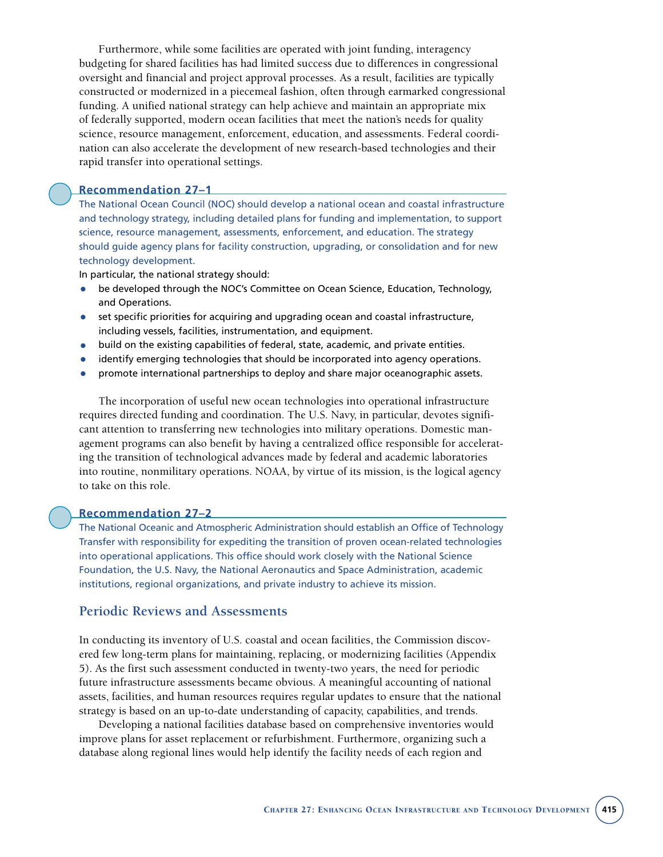Furthermore, while some facilities are operated with joint funding, interagency budgeting for shared facilities has had limited success due to differences in congressional oversight and financial and project approval processes. As a result, facilities are typically constructed or modernized in a piecemeal fashion, often through earmarked congressional funding. A unified national strategy can help achieve and maintain an appropriate mix of federally supported, modern ocean facilities that meet the nation's needs for quality science, resource management, enforcement, education, and assessments. Federal coordination can also accelerate the development of new research-based technologies and their rapid transfer into operational settings.

#### **Recommendation 27–1**

The National Ocean Council (NOC) should develop a national ocean and coastal infrastructure and technology strategy, including detailed plans for funding and implementation, to support science, resource management, assessments, enforcement, and education. The strategy should guide agency plans for facility construction, upgrading, or consolidation and for new technology development.

In particular, the national strategy should:

- be developed through the NOC's Committee on Ocean Science, Education, Technology, and Operations.
- set specific priorities for acquiring and upgrading ocean and coastal infrastructure, including vessels, facilities, instrumentation, and equipment.
- build on the existing capabilities of federal, state, academic, and private entities.
- identify emerging technologies that should be incorporated into agency operations.
- promote international partnerships to deploy and share major oceanographic assets.

The incorporation of useful new ocean technologies into operational infrastructure requires directed funding and coordination. The U.S. Navy, in particular, devotes significant attention to transferring new technologies into military operations. Domestic management programs can also benefit by having a centralized office responsible for accelerating the transition of technological advances made by federal and academic laboratories into routine, nonmilitary operations. NOAA, by virtue of its mission, is the logical agency to take on this role.

#### **Recommendation 27–2**

The National Oceanic and Atmospheric Administration should establish an Office of Technology Transfer with responsibility for expediting the transition of proven ocean-related technologies into operational applications. This office should work closely with the National Science Foundation, the U.S. Navy, the National Aeronautics and Space Administration, academic institutions, regional organizations, and private industry to achieve its mission.

#### **Periodic Reviews and Assessments**

In conducting its inventory of U.S. coastal and ocean facilities, the Commission discovered few long-term plans for maintaining, replacing, or modernizing facilities (Appendix 5). As the first such assessment conducted in twenty-two years, the need for periodic future infrastructure assessments became obvious. A meaningful accounting of national assets, facilities, and human resources requires regular updates to ensure that the national strategy is based on an up-to-date understanding of capacity, capabilities, and trends.

Developing a national facilities database based on comprehensive inventories would improve plans for asset replacement or refurbishment. Furthermore, organizing such a database along regional lines would help identify the facility needs of each region and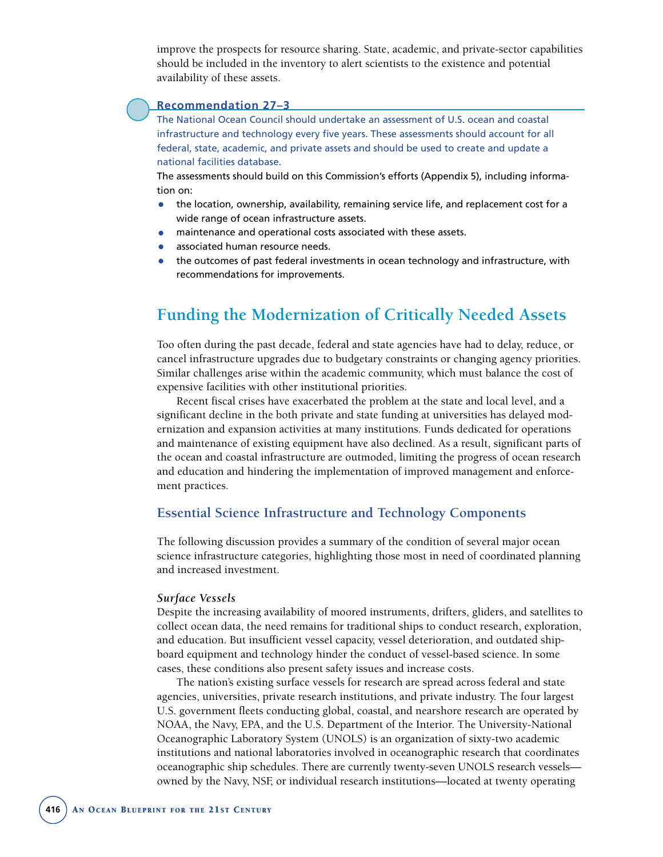improve the prospects for resource sharing. State, academic, and private-sector capabilities should be included in the inventory to alert scientists to the existence and potential availability of these assets.

#### **Recommendation 27–3**

The National Ocean Council should undertake an assessment of U.S. ocean and coastal infrastructure and technology every five years. These assessments should account for all federal, state, academic, and private assets and should be used to create and update a national facilities database.

The assessments should build on this Commission's efforts (Appendix 5), including information on:

- the location, ownership, availability, remaining service life, and replacement cost for a wide range of ocean infrastructure assets.
- maintenance and operational costs associated with these assets.
- associated human resource needs.
- the outcomes of past federal investments in ocean technology and infrastructure, with recommendations for improvements.

# **Funding the Modernization of Critically Needed Assets**

Too often during the past decade, federal and state agencies have had to delay, reduce, or cancel infrastructure upgrades due to budgetary constraints or changing agency priorities. Similar challenges arise within the academic community, which must balance the cost of expensive facilities with other institutional priorities.

Recent fiscal crises have exacerbated the problem at the state and local level, and a significant decline in the both private and state funding at universities has delayed modernization and expansion activities at many institutions. Funds dedicated for operations and maintenance of existing equipment have also declined. As a result, significant parts of the ocean and coastal infrastructure are outmoded, limiting the progress of ocean research and education and hindering the implementation of improved management and enforcement practices.

#### **Essential Science Infrastructure and Technology Components**

The following discussion provides a summary of the condition of several major ocean science infrastructure categories, highlighting those most in need of coordinated planning and increased investment.

#### *Surface Vessels*

Despite the increasing availability of moored instruments, drifters, gliders, and satellites to collect ocean data, the need remains for traditional ships to conduct research, exploration, and education. But insufficient vessel capacity, vessel deterioration, and outdated shipboard equipment and technology hinder the conduct of vessel-based science. In some cases, these conditions also present safety issues and increase costs.

The nation's existing surface vessels for research are spread across federal and state agencies, universities, private research institutions, and private industry. The four largest U.S. government fleets conducting global, coastal, and nearshore research are operated by NOAA, the Navy, EPA, and the U.S. Department of the Interior. The University-National Oceanographic Laboratory System (UNOLS) is an organization of sixty-two academic institutions and national laboratories involved in oceanographic research that coordinates oceanographic ship schedules. There are currently twenty-seven UNOLS research vessels owned by the Navy, NSF, or individual research institutions—located at twenty operating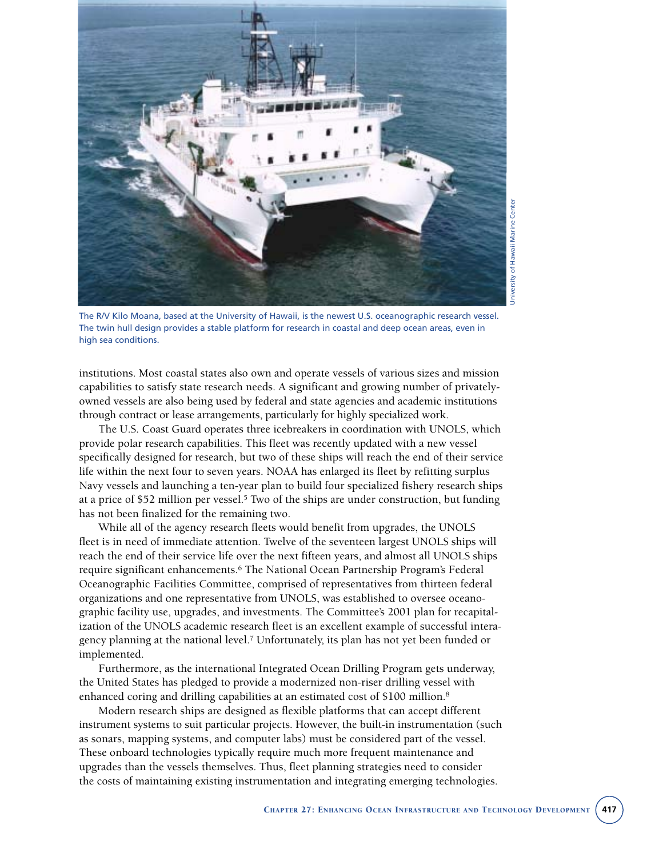

University of Hawaii Marine CenterJniversity of Hawaii Marine Center

The R/V Kilo Moana, based at the University of Hawaii, is the newest U.S. oceanographic research vessel. The twin hull design provides a stable platform for research in coastal and deep ocean areas, even in high sea conditions.

institutions. Most coastal states also own and operate vessels of various sizes and mission capabilities to satisfy state research needs. A significant and growing number of privatelyowned vessels are also being used by federal and state agencies and academic institutions through contract or lease arrangements, particularly for highly specialized work.

The U.S. Coast Guard operates three icebreakers in coordination with UNOLS, which provide polar research capabilities. This fleet was recently updated with a new vessel specifically designed for research, but two of these ships will reach the end of their service life within the next four to seven years. NOAA has enlarged its fleet by refitting surplus Navy vessels and launching a ten-year plan to build four specialized fishery research ships at a price of \$52 million per vessel.<sup>5</sup> Two of the ships are under construction, but funding has not been finalized for the remaining two.

While all of the agency research fleets would benefit from upgrades, the UNOLS fleet is in need of immediate attention. Twelve of the seventeen largest UNOLS ships will reach the end of their service life over the next fifteen years, and almost all UNOLS ships require significant enhancements.<sup>6</sup> The National Ocean Partnership Program's Federal Oceanographic Facilities Committee, comprised of representatives from thirteen federal organizations and one representative from UNOLS, was established to oversee oceanographic facility use, upgrades, and investments. The Committee's 2001 plan for recapitalization of the UNOLS academic research fleet is an excellent example of successful interagency planning at the national level.7 Unfortunately, its plan has not yet been funded or implemented.

Furthermore, as the international Integrated Ocean Drilling Program gets underway, the United States has pledged to provide a modernized non-riser drilling vessel with enhanced coring and drilling capabilities at an estimated cost of \$100 million.<sup>8</sup>

Modern research ships are designed as flexible platforms that can accept different instrument systems to suit particular projects. However, the built-in instrumentation (such as sonars, mapping systems, and computer labs) must be considered part of the vessel. These onboard technologies typically require much more frequent maintenance and upgrades than the vessels themselves. Thus, fleet planning strategies need to consider the costs of maintaining existing instrumentation and integrating emerging technologies.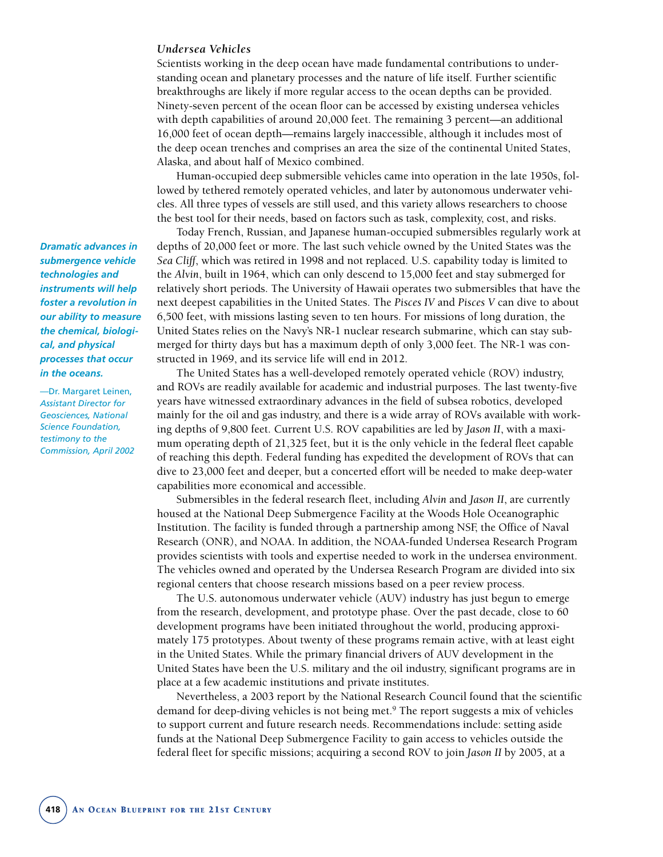#### *Undersea Vehicles*

Scientists working in the deep ocean have made fundamental contributions to understanding ocean and planetary processes and the nature of life itself. Further scientific breakthroughs are likely if more regular access to the ocean depths can be provided. Ninety-seven percent of the ocean floor can be accessed by existing undersea vehicles with depth capabilities of around 20,000 feet. The remaining 3 percent—an additional 16,000 feet of ocean depth—remains largely inaccessible, although it includes most of the deep ocean trenches and comprises an area the size of the continental United States, Alaska, and about half of Mexico combined.

Human-occupied deep submersible vehicles came into operation in the late 1950s, followed by tethered remotely operated vehicles, and later by autonomous underwater vehicles. All three types of vessels are still used, and this variety allows researchers to choose the best tool for their needs, based on factors such as task, complexity, cost, and risks.

Today French, Russian, and Japanese human-occupied submersibles regularly work at depths of 20,000 feet or more. The last such vehicle owned by the United States was the *Sea Cliff*, which was retired in 1998 and not replaced. U.S. capability today is limited to the *Alvin*, built in 1964, which can only descend to 15,000 feet and stay submerged for relatively short periods. The University of Hawaii operates two submersibles that have the next deepest capabilities in the United States. The *Pisces IV* and *Pisces V* can dive to about 6,500 feet, with missions lasting seven to ten hours. For missions of long duration, the United States relies on the Navy's NR-1 nuclear research submarine, which can stay submerged for thirty days but has a maximum depth of only 3,000 feet. The NR-1 was constructed in 1969, and its service life will end in 2012.

The United States has a well-developed remotely operated vehicle (ROV) industry, and ROVs are readily available for academic and industrial purposes. The last twenty-five years have witnessed extraordinary advances in the field of subsea robotics, developed mainly for the oil and gas industry, and there is a wide array of ROVs available with working depths of 9,800 feet. Current U.S. ROV capabilities are led by *Jason II*, with a maximum operating depth of 21,325 feet, but it is the only vehicle in the federal fleet capable of reaching this depth. Federal funding has expedited the development of ROVs that can dive to 23,000 feet and deeper, but a concerted effort will be needed to make deep-water capabilities more economical and accessible.

Submersibles in the federal research fleet, including *Alvin* and *Jason II*, are currently housed at the National Deep Submergence Facility at the Woods Hole Oceanographic Institution. The facility is funded through a partnership among NSF, the Office of Naval Research (ONR), and NOAA. In addition, the NOAA-funded Undersea Research Program provides scientists with tools and expertise needed to work in the undersea environment. The vehicles owned and operated by the Undersea Research Program are divided into six regional centers that choose research missions based on a peer review process.

The U.S. autonomous underwater vehicle (AUV) industry has just begun to emerge from the research, development, and prototype phase. Over the past decade, close to 60 development programs have been initiated throughout the world, producing approximately 175 prototypes. About twenty of these programs remain active, with at least eight in the United States. While the primary financial drivers of AUV development in the United States have been the U.S. military and the oil industry, significant programs are in place at a few academic institutions and private institutes.

Nevertheless, a 2003 report by the National Research Council found that the scientific demand for deep-diving vehicles is not being met.9 The report suggests a mix of vehicles to support current and future research needs. Recommendations include: setting aside funds at the National Deep Submergence Facility to gain access to vehicles outside the federal fleet for specific missions; acquiring a second ROV to join *Jason II* by 2005, at a

*Dramatic advances in submergence vehicle technologies and instruments will help foster a revolution in our ability to measure the chemical, biological, and physical processes that occur in the oceans.*

—Dr. Margaret Leinen, *Assistant Director for Geosciences, National Science Foundation, testimony to the Commission, April 2002*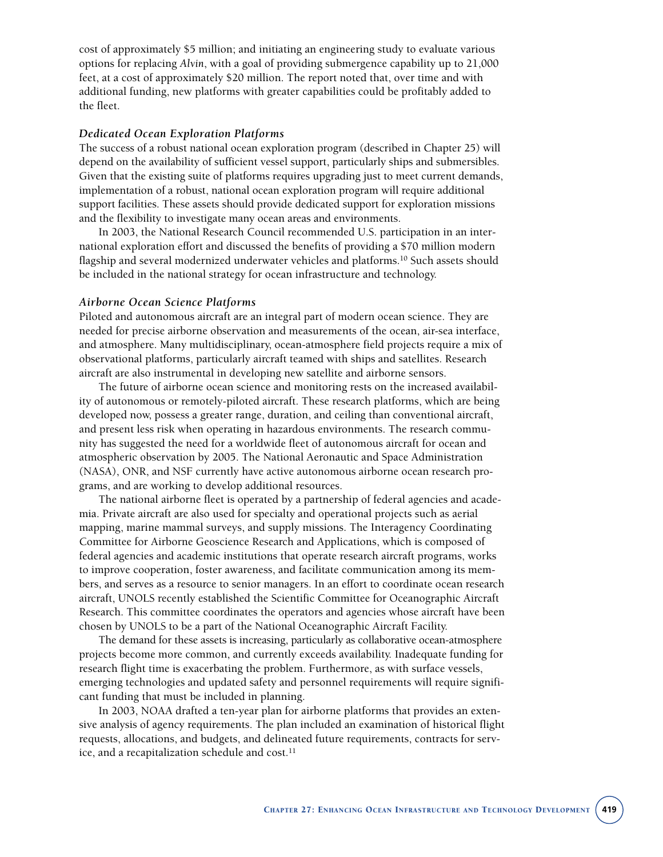cost of approximately \$5 million; and initiating an engineering study to evaluate various options for replacing *Alvin*, with a goal of providing submergence capability up to 21,000 feet, at a cost of approximately \$20 million. The report noted that, over time and with additional funding, new platforms with greater capabilities could be profitably added to the fleet.

#### *Dedicated Ocean Exploration Platforms*

The success of a robust national ocean exploration program (described in Chapter 25) will depend on the availability of sufficient vessel support, particularly ships and submersibles. Given that the existing suite of platforms requires upgrading just to meet current demands, implementation of a robust, national ocean exploration program will require additional support facilities. These assets should provide dedicated support for exploration missions and the flexibility to investigate many ocean areas and environments.

In 2003, the National Research Council recommended U.S. participation in an international exploration effort and discussed the benefits of providing a \$70 million modern flagship and several modernized underwater vehicles and platforms.10 Such assets should be included in the national strategy for ocean infrastructure and technology.

#### *Airborne Ocean Science Platforms*

Piloted and autonomous aircraft are an integral part of modern ocean science. They are needed for precise airborne observation and measurements of the ocean, air-sea interface, and atmosphere. Many multidisciplinary, ocean-atmosphere field projects require a mix of observational platforms, particularly aircraft teamed with ships and satellites. Research aircraft are also instrumental in developing new satellite and airborne sensors.

The future of airborne ocean science and monitoring rests on the increased availability of autonomous or remotely-piloted aircraft. These research platforms, which are being developed now, possess a greater range, duration, and ceiling than conventional aircraft, and present less risk when operating in hazardous environments. The research community has suggested the need for a worldwide fleet of autonomous aircraft for ocean and atmospheric observation by 2005. The National Aeronautic and Space Administration (NASA), ONR, and NSF currently have active autonomous airborne ocean research programs, and are working to develop additional resources.

The national airborne fleet is operated by a partnership of federal agencies and academia. Private aircraft are also used for specialty and operational projects such as aerial mapping, marine mammal surveys, and supply missions. The Interagency Coordinating Committee for Airborne Geoscience Research and Applications, which is composed of federal agencies and academic institutions that operate research aircraft programs, works to improve cooperation, foster awareness, and facilitate communication among its members, and serves as a resource to senior managers. In an effort to coordinate ocean research aircraft, UNOLS recently established the Scientific Committee for Oceanographic Aircraft Research. This committee coordinates the operators and agencies whose aircraft have been chosen by UNOLS to be a part of the National Oceanographic Aircraft Facility.

The demand for these assets is increasing, particularly as collaborative ocean-atmosphere projects become more common, and currently exceeds availability. Inadequate funding for research flight time is exacerbating the problem. Furthermore, as with surface vessels, emerging technologies and updated safety and personnel requirements will require significant funding that must be included in planning.

In 2003, NOAA drafted a ten-year plan for airborne platforms that provides an extensive analysis of agency requirements. The plan included an examination of historical flight requests, allocations, and budgets, and delineated future requirements, contracts for service, and a recapitalization schedule and cost.<sup>11</sup>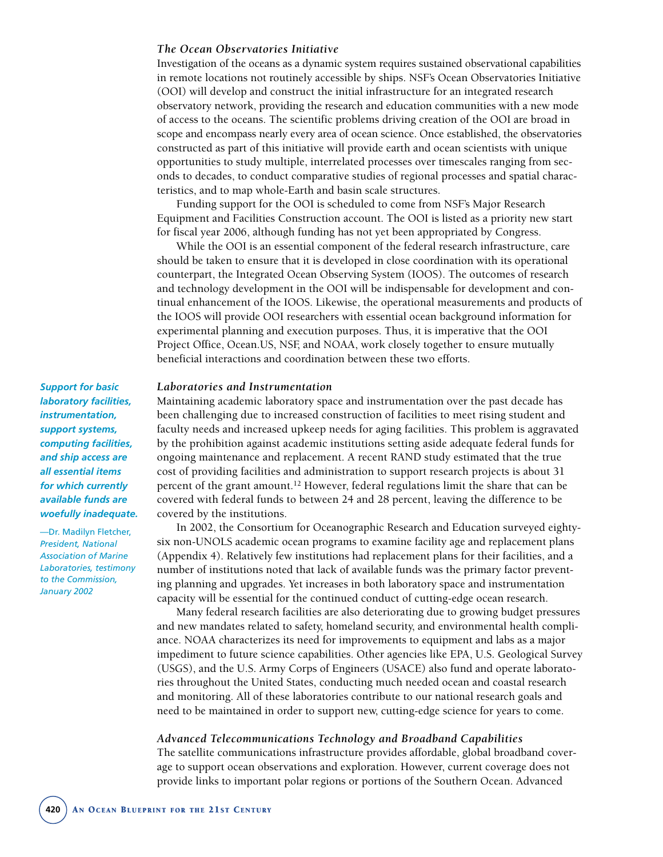#### *The Ocean Observatories Initiative*

Investigation of the oceans as a dynamic system requires sustained observational capabilities in remote locations not routinely accessible by ships. NSF's Ocean Observatories Initiative (OOI) will develop and construct the initial infrastructure for an integrated research observatory network, providing the research and education communities with a new mode of access to the oceans. The scientific problems driving creation of the OOI are broad in scope and encompass nearly every area of ocean science. Once established, the observatories constructed as part of this initiative will provide earth and ocean scientists with unique opportunities to study multiple, interrelated processes over timescales ranging from seconds to decades, to conduct comparative studies of regional processes and spatial characteristics, and to map whole-Earth and basin scale structures.

Funding support for the OOI is scheduled to come from NSF's Major Research Equipment and Facilities Construction account. The OOI is listed as a priority new start for fiscal year 2006, although funding has not yet been appropriated by Congress.

While the OOI is an essential component of the federal research infrastructure, care should be taken to ensure that it is developed in close coordination with its operational counterpart, the Integrated Ocean Observing System (IOOS). The outcomes of research and technology development in the OOI will be indispensable for development and continual enhancement of the IOOS. Likewise, the operational measurements and products of the IOOS will provide OOI researchers with essential ocean background information for experimental planning and execution purposes. Thus, it is imperative that the OOI Project Office, Ocean.US, NSF, and NOAA, work closely together to ensure mutually beneficial interactions and coordination between these two efforts.

#### *Laboratories and Instrumentation*

Maintaining academic laboratory space and instrumentation over the past decade has been challenging due to increased construction of facilities to meet rising student and faculty needs and increased upkeep needs for aging facilities. This problem is aggravated by the prohibition against academic institutions setting aside adequate federal funds for ongoing maintenance and replacement. A recent RAND study estimated that the true cost of providing facilities and administration to support research projects is about 31 percent of the grant amount.<sup>12</sup> However, federal regulations limit the share that can be covered with federal funds to between 24 and 28 percent, leaving the difference to be covered by the institutions.

In 2002, the Consortium for Oceanographic Research and Education surveyed eightysix non-UNOLS academic ocean programs to examine facility age and replacement plans (Appendix 4). Relatively few institutions had replacement plans for their facilities, and a number of institutions noted that lack of available funds was the primary factor preventing planning and upgrades. Yet increases in both laboratory space and instrumentation capacity will be essential for the continued conduct of cutting-edge ocean research.

Many federal research facilities are also deteriorating due to growing budget pressures and new mandates related to safety, homeland security, and environmental health compliance. NOAA characterizes its need for improvements to equipment and labs as a major impediment to future science capabilities. Other agencies like EPA, U.S. Geological Survey (USGS), and the U.S. Army Corps of Engineers (USACE) also fund and operate laboratories throughout the United States, conducting much needed ocean and coastal research and monitoring. All of these laboratories contribute to our national research goals and need to be maintained in order to support new, cutting-edge science for years to come.

#### *Advanced Telecommunications Technology and Broadband Capabilities*

The satellite communications infrastructure provides affordable, global broadband coverage to support ocean observations and exploration. However, current coverage does not provide links to important polar regions or portions of the Southern Ocean. Advanced

*Support for basic laboratory facilities, instrumentation, support systems, computing facilities, and ship access are all essential items for which currently available funds are woefully inadequate.* 

—Dr. Madilyn Fletcher, *President, National Association of Marine Laboratories, testimony to the Commission, January 2002*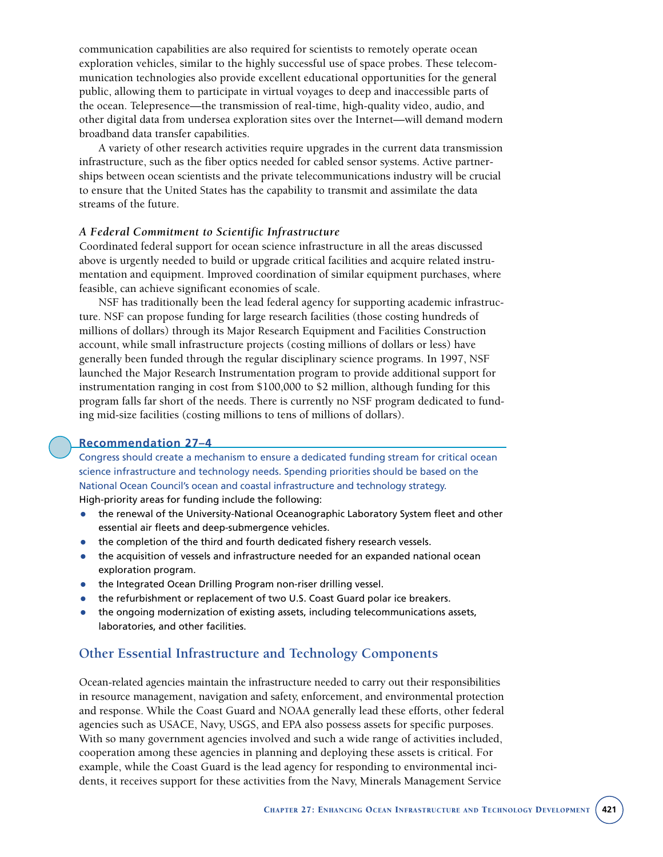communication capabilities are also required for scientists to remotely operate ocean exploration vehicles, similar to the highly successful use of space probes. These telecommunication technologies also provide excellent educational opportunities for the general public, allowing them to participate in virtual voyages to deep and inaccessible parts of the ocean. Telepresence—the transmission of real-time, high-quality video, audio, and other digital data from undersea exploration sites over the Internet—will demand modern broadband data transfer capabilities.

A variety of other research activities require upgrades in the current data transmission infrastructure, such as the fiber optics needed for cabled sensor systems. Active partnerships between ocean scientists and the private telecommunications industry will be crucial to ensure that the United States has the capability to transmit and assimilate the data streams of the future.

#### *A Federal Commitment to Scientific Infrastructure*

Coordinated federal support for ocean science infrastructure in all the areas discussed above is urgently needed to build or upgrade critical facilities and acquire related instrumentation and equipment. Improved coordination of similar equipment purchases, where feasible, can achieve significant economies of scale.

NSF has traditionally been the lead federal agency for supporting academic infrastructure. NSF can propose funding for large research facilities (those costing hundreds of millions of dollars) through its Major Research Equipment and Facilities Construction account, while small infrastructure projects (costing millions of dollars or less) have generally been funded through the regular disciplinary science programs. In 1997, NSF launched the Major Research Instrumentation program to provide additional support for instrumentation ranging in cost from \$100,000 to \$2 million, although funding for this program falls far short of the needs. There is currently no NSF program dedicated to funding mid-size facilities (costing millions to tens of millions of dollars).

#### **Recommendation 27–4**

Congress should create a mechanism to ensure a dedicated funding stream for critical ocean science infrastructure and technology needs. Spending priorities should be based on the National Ocean Council's ocean and coastal infrastructure and technology strategy. High-priority areas for funding include the following:

- the renewal of the University-National Oceanographic Laboratory System fleet and other essential air fleets and deep-submergence vehicles.
- the completion of the third and fourth dedicated fishery research vessels.
- the acquisition of vessels and infrastructure needed for an expanded national ocean exploration program.
- the Integrated Ocean Drilling Program non-riser drilling vessel.
- the refurbishment or replacement of two U.S. Coast Guard polar ice breakers.
- the ongoing modernization of existing assets, including telecommunications assets, laboratories, and other facilities.

#### **Other Essential Infrastructure and Technology Components**

Ocean-related agencies maintain the infrastructure needed to carry out their responsibilities in resource management, navigation and safety, enforcement, and environmental protection and response. While the Coast Guard and NOAA generally lead these efforts, other federal agencies such as USACE, Navy, USGS, and EPA also possess assets for specific purposes. With so many government agencies involved and such a wide range of activities included, cooperation among these agencies in planning and deploying these assets is critical. For example, while the Coast Guard is the lead agency for responding to environmental incidents, it receives support for these activities from the Navy, Minerals Management Service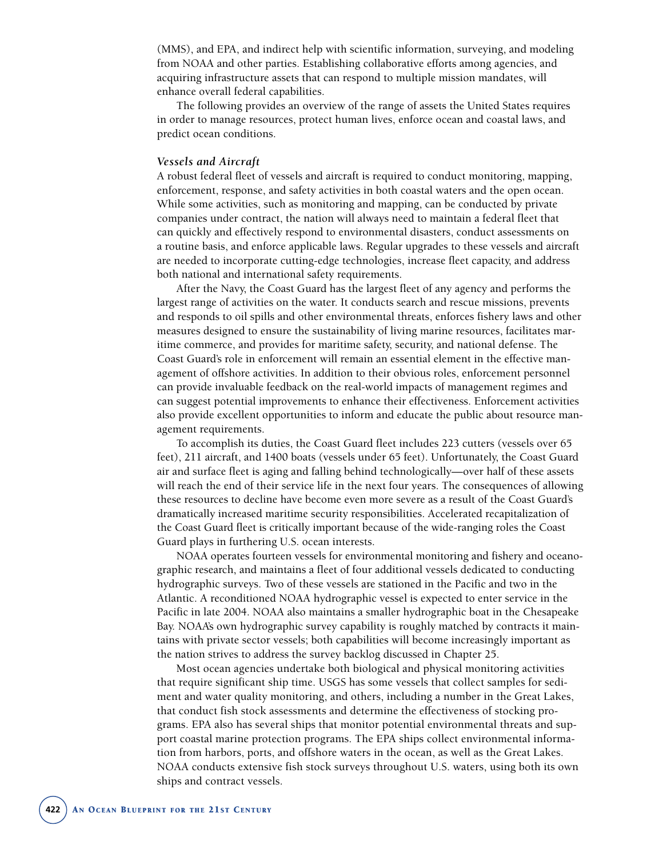(MMS), and EPA, and indirect help with scientific information, surveying, and modeling from NOAA and other parties. Establishing collaborative efforts among agencies, and acquiring infrastructure assets that can respond to multiple mission mandates, will enhance overall federal capabilities.

The following provides an overview of the range of assets the United States requires in order to manage resources, protect human lives, enforce ocean and coastal laws, and predict ocean conditions.

#### *Vessels and Aircraft*

A robust federal fleet of vessels and aircraft is required to conduct monitoring, mapping, enforcement, response, and safety activities in both coastal waters and the open ocean. While some activities, such as monitoring and mapping, can be conducted by private companies under contract, the nation will always need to maintain a federal fleet that can quickly and effectively respond to environmental disasters, conduct assessments on a routine basis, and enforce applicable laws. Regular upgrades to these vessels and aircraft are needed to incorporate cutting-edge technologies, increase fleet capacity, and address both national and international safety requirements.

After the Navy, the Coast Guard has the largest fleet of any agency and performs the largest range of activities on the water. It conducts search and rescue missions, prevents and responds to oil spills and other environmental threats, enforces fishery laws and other measures designed to ensure the sustainability of living marine resources, facilitates maritime commerce, and provides for maritime safety, security, and national defense. The Coast Guard's role in enforcement will remain an essential element in the effective management of offshore activities. In addition to their obvious roles, enforcement personnel can provide invaluable feedback on the real-world impacts of management regimes and can suggest potential improvements to enhance their effectiveness. Enforcement activities also provide excellent opportunities to inform and educate the public about resource management requirements.

To accomplish its duties, the Coast Guard fleet includes 223 cutters (vessels over 65 feet), 211 aircraft, and 1400 boats (vessels under 65 feet). Unfortunately, the Coast Guard air and surface fleet is aging and falling behind technologically—over half of these assets will reach the end of their service life in the next four years. The consequences of allowing these resources to decline have become even more severe as a result of the Coast Guard's dramatically increased maritime security responsibilities. Accelerated recapitalization of the Coast Guard fleet is critically important because of the wide-ranging roles the Coast Guard plays in furthering U.S. ocean interests.

NOAA operates fourteen vessels for environmental monitoring and fishery and oceanographic research, and maintains a fleet of four additional vessels dedicated to conducting hydrographic surveys. Two of these vessels are stationed in the Pacific and two in the Atlantic. A reconditioned NOAA hydrographic vessel is expected to enter service in the Pacific in late 2004. NOAA also maintains a smaller hydrographic boat in the Chesapeake Bay. NOAA's own hydrographic survey capability is roughly matched by contracts it maintains with private sector vessels; both capabilities will become increasingly important as the nation strives to address the survey backlog discussed in Chapter 25.

Most ocean agencies undertake both biological and physical monitoring activities that require significant ship time. USGS has some vessels that collect samples for sediment and water quality monitoring, and others, including a number in the Great Lakes, that conduct fish stock assessments and determine the effectiveness of stocking programs. EPA also has several ships that monitor potential environmental threats and support coastal marine protection programs. The EPA ships collect environmental information from harbors, ports, and offshore waters in the ocean, as well as the Great Lakes. NOAA conducts extensive fish stock surveys throughout U.S. waters, using both its own ships and contract vessels.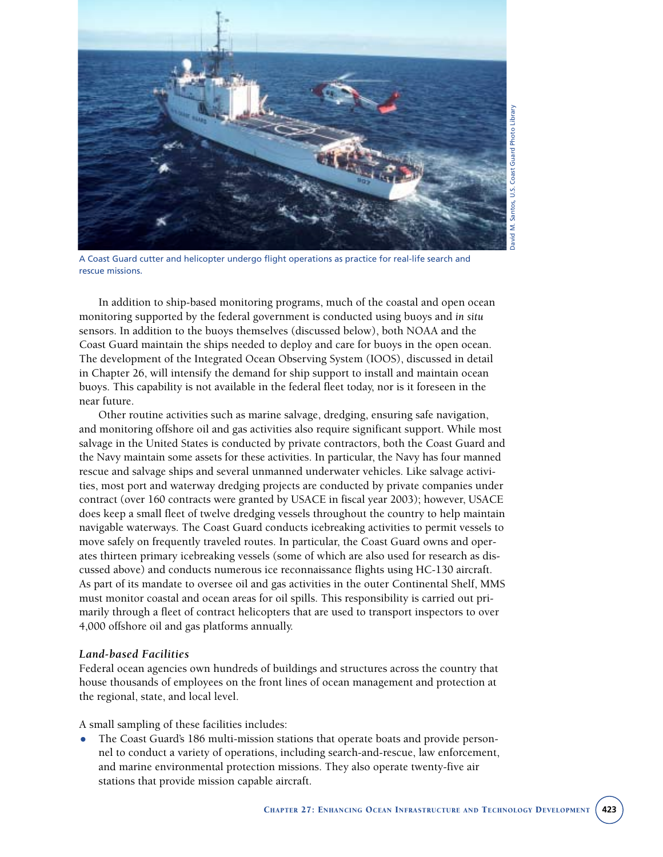

A Coast Guard cutter and helicopter undergo flight operations as practice for real-life search and rescue missions.

In addition to ship-based monitoring programs, much of the coastal and open ocean monitoring supported by the federal government is conducted using buoys and *in situ* sensors. In addition to the buoys themselves (discussed below), both NOAA and the Coast Guard maintain the ships needed to deploy and care for buoys in the open ocean. The development of the Integrated Ocean Observing System (IOOS), discussed in detail in Chapter 26, will intensify the demand for ship support to install and maintain ocean buoys. This capability is not available in the federal fleet today, nor is it foreseen in the near future.

Other routine activities such as marine salvage, dredging, ensuring safe navigation, and monitoring offshore oil and gas activities also require significant support. While most salvage in the United States is conducted by private contractors, both the Coast Guard and the Navy maintain some assets for these activities. In particular, the Navy has four manned rescue and salvage ships and several unmanned underwater vehicles. Like salvage activities, most port and waterway dredging projects are conducted by private companies under contract (over 160 contracts were granted by USACE in fiscal year 2003); however, USACE does keep a small fleet of twelve dredging vessels throughout the country to help maintain navigable waterways. The Coast Guard conducts icebreaking activities to permit vessels to move safely on frequently traveled routes. In particular, the Coast Guard owns and operates thirteen primary icebreaking vessels (some of which are also used for research as discussed above) and conducts numerous ice reconnaissance flights using HC-130 aircraft. As part of its mandate to oversee oil and gas activities in the outer Continental Shelf, MMS must monitor coastal and ocean areas for oil spills. This responsibility is carried out primarily through a fleet of contract helicopters that are used to transport inspectors to over 4,000 offshore oil and gas platforms annually.

#### *Land-based Facilities*

Federal ocean agencies own hundreds of buildings and structures across the country that house thousands of employees on the front lines of ocean management and protection at the regional, state, and local level.

A small sampling of these facilities includes:

• The Coast Guard's 186 multi-mission stations that operate boats and provide personnel to conduct a variety of operations, including search-and-rescue, law enforcement, and marine environmental protection missions. They also operate twenty-five air stations that provide mission capable aircraft.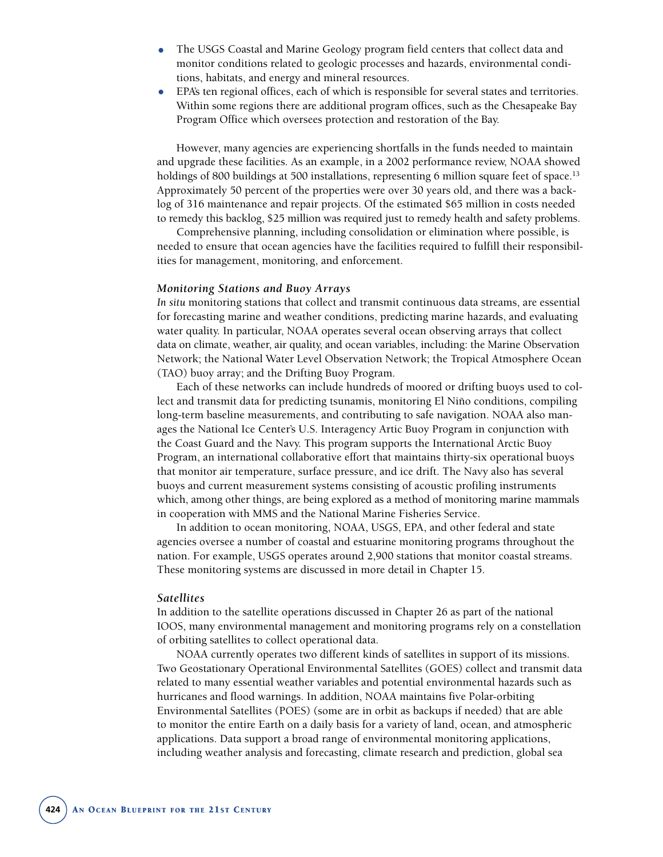- The USGS Coastal and Marine Geology program field centers that collect data and monitor conditions related to geologic processes and hazards, environmental conditions, habitats, and energy and mineral resources.
- EPA's ten regional offices, each of which is responsible for several states and territories. Within some regions there are additional program offices, such as the Chesapeake Bay Program Office which oversees protection and restoration of the Bay.

However, many agencies are experiencing shortfalls in the funds needed to maintain and upgrade these facilities. As an example, in a 2002 performance review, NOAA showed holdings of 800 buildings at 500 installations, representing 6 million square feet of space.<sup>13</sup> Approximately 50 percent of the properties were over 30 years old, and there was a backlog of 316 maintenance and repair projects. Of the estimated \$65 million in costs needed to remedy this backlog, \$25 million was required just to remedy health and safety problems.

Comprehensive planning, including consolidation or elimination where possible, is needed to ensure that ocean agencies have the facilities required to fulfill their responsibilities for management, monitoring, and enforcement.

#### *Monitoring Stations and Buoy Arrays*

*In situ* monitoring stations that collect and transmit continuous data streams, are essential for forecasting marine and weather conditions, predicting marine hazards, and evaluating water quality. In particular, NOAA operates several ocean observing arrays that collect data on climate, weather, air quality, and ocean variables, including: the Marine Observation Network; the National Water Level Observation Network; the Tropical Atmosphere Ocean (TAO) buoy array; and the Drifting Buoy Program.

Each of these networks can include hundreds of moored or drifting buoys used to collect and transmit data for predicting tsunamis, monitoring El Niño conditions, compiling long-term baseline measurements, and contributing to safe navigation. NOAA also manages the National Ice Center's U.S. Interagency Artic Buoy Program in conjunction with the Coast Guard and the Navy. This program supports the International Arctic Buoy Program, an international collaborative effort that maintains thirty-six operational buoys that monitor air temperature, surface pressure, and ice drift. The Navy also has several buoys and current measurement systems consisting of acoustic profiling instruments which, among other things, are being explored as a method of monitoring marine mammals in cooperation with MMS and the National Marine Fisheries Service.

In addition to ocean monitoring, NOAA, USGS, EPA, and other federal and state agencies oversee a number of coastal and estuarine monitoring programs throughout the nation. For example, USGS operates around 2,900 stations that monitor coastal streams. These monitoring systems are discussed in more detail in Chapter 15.

#### *Satellites*

In addition to the satellite operations discussed in Chapter 26 as part of the national IOOS, many environmental management and monitoring programs rely on a constellation of orbiting satellites to collect operational data.

NOAA currently operates two different kinds of satellites in support of its missions. Two Geostationary Operational Environmental Satellites (GOES) collect and transmit data related to many essential weather variables and potential environmental hazards such as hurricanes and flood warnings. In addition, NOAA maintains five Polar-orbiting Environmental Satellites (POES) (some are in orbit as backups if needed) that are able to monitor the entire Earth on a daily basis for a variety of land, ocean, and atmospheric applications. Data support a broad range of environmental monitoring applications, including weather analysis and forecasting, climate research and prediction, global sea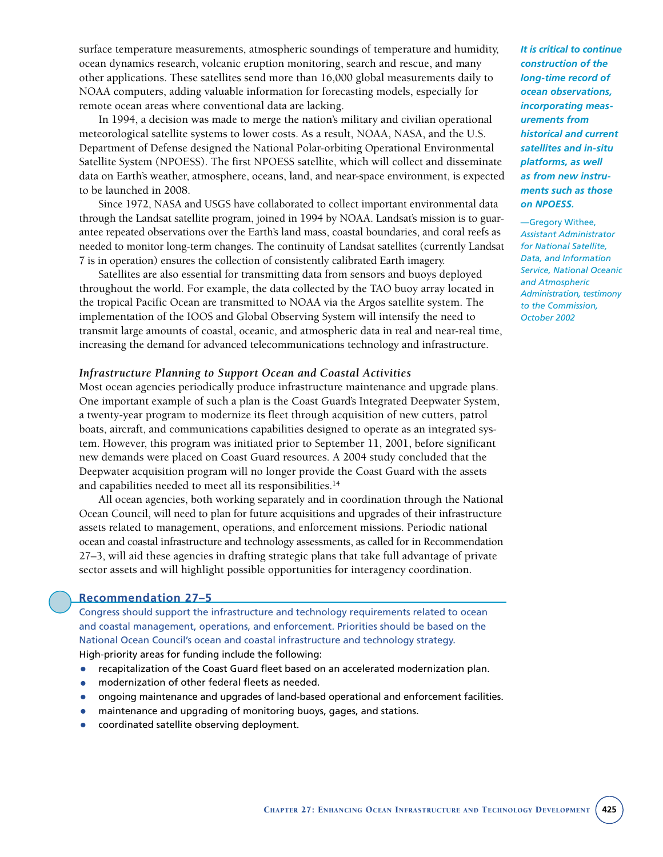surface temperature measurements, atmospheric soundings of temperature and humidity, ocean dynamics research, volcanic eruption monitoring, search and rescue, and many other applications. These satellites send more than 16,000 global measurements daily to NOAA computers, adding valuable information for forecasting models, especially for remote ocean areas where conventional data are lacking.

In 1994, a decision was made to merge the nation's military and civilian operational meteorological satellite systems to lower costs. As a result, NOAA, NASA, and the U.S. Department of Defense designed the National Polar-orbiting Operational Environmental Satellite System (NPOESS). The first NPOESS satellite, which will collect and disseminate data on Earth's weather, atmosphere, oceans, land, and near-space environment, is expected to be launched in 2008.

Since 1972, NASA and USGS have collaborated to collect important environmental data through the Landsat satellite program, joined in 1994 by NOAA. Landsat's mission is to guarantee repeated observations over the Earth's land mass, coastal boundaries, and coral reefs as needed to monitor long-term changes. The continuity of Landsat satellites (currently Landsat 7 is in operation) ensures the collection of consistently calibrated Earth imagery.

Satellites are also essential for transmitting data from sensors and buoys deployed throughout the world. For example, the data collected by the TAO buoy array located in the tropical Pacific Ocean are transmitted to NOAA via the Argos satellite system. The implementation of the IOOS and Global Observing System will intensify the need to transmit large amounts of coastal, oceanic, and atmospheric data in real and near-real time, increasing the demand for advanced telecommunications technology and infrastructure.

#### *Infrastructure Planning to Support Ocean and Coastal Activities*

Most ocean agencies periodically produce infrastructure maintenance and upgrade plans. One important example of such a plan is the Coast Guard's Integrated Deepwater System, a twenty-year program to modernize its fleet through acquisition of new cutters, patrol boats, aircraft, and communications capabilities designed to operate as an integrated system. However, this program was initiated prior to September 11, 2001, before significant new demands were placed on Coast Guard resources. A 2004 study concluded that the Deepwater acquisition program will no longer provide the Coast Guard with the assets and capabilities needed to meet all its responsibilities.14

All ocean agencies, both working separately and in coordination through the National Ocean Council, will need to plan for future acquisitions and upgrades of their infrastructure assets related to management, operations, and enforcement missions. Periodic national ocean and coastal infrastructure and technology assessments, as called for in Recommendation 27–3, will aid these agencies in drafting strategic plans that take full advantage of private sector assets and will highlight possible opportunities for interagency coordination.

#### **Recommendation 27–5**

Congress should support the infrastructure and technology requirements related to ocean and coastal management, operations, and enforcement. Priorities should be based on the National Ocean Council's ocean and coastal infrastructure and technology strategy. High-priority areas for funding include the following:

- recapitalization of the Coast Guard fleet based on an accelerated modernization plan.
- modernization of other federal fleets as needed.
- ongoing maintenance and upgrades of land-based operational and enforcement facilities.
- maintenance and upgrading of monitoring buoys, gages, and stations.
- coordinated satellite observing deployment.

*It is critical to continue construction of the long-time record of ocean observations, incorporating measurements from historical and current satellites and in-situ platforms, as well as from new instruments such as those on NPOESS.*

—Gregory Withee, *Assistant Administrator for National Satellite, Data, and Information Service, National Oceanic and Atmospheric Administration, testimony to the Commission, October 2002*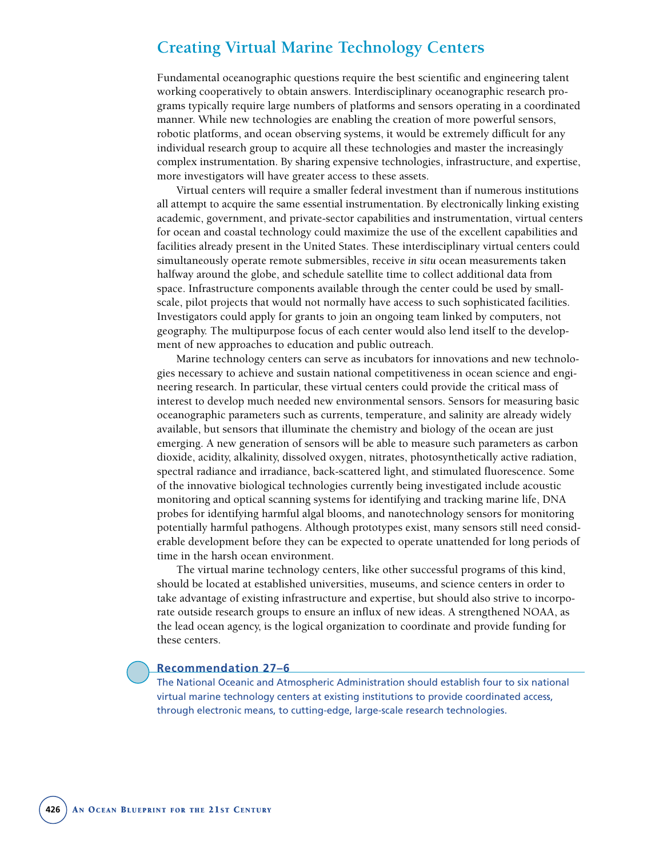# **Creating Virtual Marine Technology Centers**

Fundamental oceanographic questions require the best scientific and engineering talent working cooperatively to obtain answers. Interdisciplinary oceanographic research programs typically require large numbers of platforms and sensors operating in a coordinated manner. While new technologies are enabling the creation of more powerful sensors, robotic platforms, and ocean observing systems, it would be extremely difficult for any individual research group to acquire all these technologies and master the increasingly complex instrumentation. By sharing expensive technologies, infrastructure, and expertise, more investigators will have greater access to these assets.

Virtual centers will require a smaller federal investment than if numerous institutions all attempt to acquire the same essential instrumentation. By electronically linking existing academic, government, and private-sector capabilities and instrumentation, virtual centers for ocean and coastal technology could maximize the use of the excellent capabilities and facilities already present in the United States. These interdisciplinary virtual centers could simultaneously operate remote submersibles, receive *in situ* ocean measurements taken halfway around the globe, and schedule satellite time to collect additional data from space. Infrastructure components available through the center could be used by smallscale, pilot projects that would not normally have access to such sophisticated facilities. Investigators could apply for grants to join an ongoing team linked by computers, not geography. The multipurpose focus of each center would also lend itself to the development of new approaches to education and public outreach.

Marine technology centers can serve as incubators for innovations and new technologies necessary to achieve and sustain national competitiveness in ocean science and engineering research. In particular, these virtual centers could provide the critical mass of interest to develop much needed new environmental sensors. Sensors for measuring basic oceanographic parameters such as currents, temperature, and salinity are already widely available, but sensors that illuminate the chemistry and biology of the ocean are just emerging. A new generation of sensors will be able to measure such parameters as carbon dioxide, acidity, alkalinity, dissolved oxygen, nitrates, photosynthetically active radiation, spectral radiance and irradiance, back-scattered light, and stimulated fluorescence. Some of the innovative biological technologies currently being investigated include acoustic monitoring and optical scanning systems for identifying and tracking marine life, DNA probes for identifying harmful algal blooms, and nanotechnology sensors for monitoring potentially harmful pathogens. Although prototypes exist, many sensors still need considerable development before they can be expected to operate unattended for long periods of time in the harsh ocean environment.

The virtual marine technology centers, like other successful programs of this kind, should be located at established universities, museums, and science centers in order to take advantage of existing infrastructure and expertise, but should also strive to incorporate outside research groups to ensure an influx of new ideas. A strengthened NOAA, as the lead ocean agency, is the logical organization to coordinate and provide funding for these centers.

#### **Recommendation 27–6**

The National Oceanic and Atmospheric Administration should establish four to six national virtual marine technology centers at existing institutions to provide coordinated access, through electronic means, to cutting-edge, large-scale research technologies.